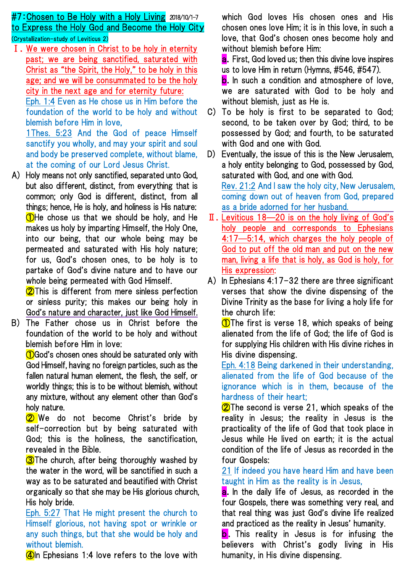# #7:Chosen to Be Holy with a Holy Living 2018/10/1-7 to Express the Holy God and Become the Holy City (Crystallization-study of Leviticus 2)

Ⅰ.We were chosen in Christ to be holy in eternity past; we are being sanctified, saturated with Christ as "the Spirit, the Holy," to be holy in this age; and we will be consummated to be the holy city in the next age and for eternity future:

Eph. 1:4 Even as He chose us in Him before the foundation of the world to be holy and without blemish before Him in love,

1Thes. 5:23 And the God of peace Himself sanctify you wholly, and may your spirit and soul and body be preserved complete, without blame, at the coming of our Lord Jesus Christ.

A) Holy means not only sanctified, separated unto God, but also different, distinct, from everything that is common; only God is different, distinct, from all things; hence, He is holy, and holiness is His nature: ①He chose us that we should be holy, and He makes us holy by imparting Himself, the Holy One, into our being, that our whole being may be permeated and saturated with His holy nature; for us, God's chosen ones, to be holy is to partake of God's divine nature and to have our whole being permeated with God Himself.

**2**This is different from mere sinless perfection or sinless purity; this makes our being holy in God's nature and character, just like God Himself.

B) The Father chose us in Christ before the foundation of the world to be holy and without blemish before Him in love:

**10**God's chosen ones should be saturated only with God Himself, having no foreign particles, such as the fallen natural human element, the flesh, the self, or worldly things; this is to be without blemish, without any mixture, without any element other than God's holy nature.

**2** We do not become Christ's bride by self-correction but by being saturated with God; this is the holiness, the sanctification, revealed in the Bible.

**3**The church, after being thoroughly washed by the water in the word, will be sanctified in such a way as to be saturated and beautified with Christ organically so that she may be His glorious church, His holy bride.

Eph. 5:27 That He might present the church to Himself glorious, not having spot or wrinkle or any such things, but that she would be holy and without blemish.

 $\Box$ In Ephesians 1:4 love refers to the love with

which God loves His chosen ones and His chosen ones love Him; it is in this love, in such a love, that God's chosen ones become holy and without blemish before Him:

**a.** First, God loved us; then this divine love inspires us to love Him in return (Hymns, #546, #547).

b. In such a condition and atmosphere of love, we are saturated with God to be holy and without blemish, just as He is.

- C) To be holy is first to be separated to God; second, to be taken over by God; third, to be possessed by God; and fourth, to be saturated with God and one with God.
- D) Eventually, the issue of this is the New Jerusalem, a holy entity belonging to God, possessed by God, saturated with God, and one with God. Rev. 21:2 And I saw the holy city, New Jerusalem, coming down out of heaven from God, prepared as a bride adorned for her husband.
- Ⅱ.Leviticus 18—20 is on the holy living of God's holy people and corresponds to Ephesians 4:17—5:14, which charges the holy people of God to put off the old man and put on the new man, living a life that is holy, as God is holy, for His expression:
- A) In Ephesians 4:17-32 there are three significant verses that show the divine dispensing of the Divine Trinity as the base for living a holy life for the church life:

**1** The first is verse 18, which speaks of being alienated from the life of God; the life of God is for supplying His children with His divine riches in His divine dispensing.

Eph. 4:18 Being darkened in their understanding, alienated from the life of God because of the ignorance which is in them, because of the hardness of their heart;

**2**The second is verse 21, which speaks of the reality in Jesus; the reality in Jesus is the practicality of the life of God that took place in Jesus while He lived on earth; it is the actual condition of the life of Jesus as recorded in the four Gospels:

21 If indeed you have heard Him and have been taught in Him as the reality is in Jesus,

**a.** In the daily life of Jesus, as recorded in the four Gospels, there was something very real, and that real thing was just God's divine life realized and practiced as the reality in Jesus' humanity.

**b.** This reality in Jesus is for infusing the believers with Christ's godly living in His humanity, in His divine dispensing.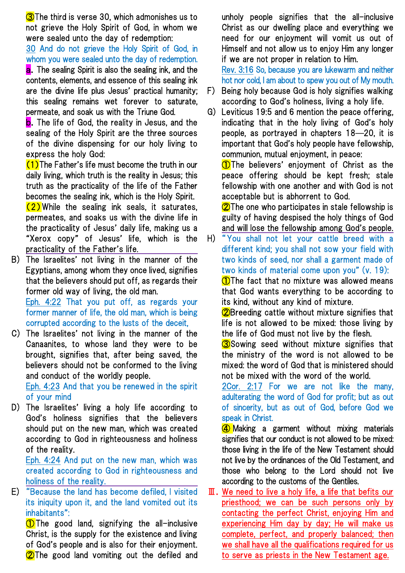**3**The third is verse 30, which admonishes us to not grieve the Holy Spirit of God, in whom we were sealed unto the day of redemption:

30 And do not grieve the Holy Spirit of God, in whom you were sealed unto the day of redemption.

**a.** The sealing Spirit is also the sealing ink, and the contents, elements, and essence of this sealing ink are the divine life plus Jesus' practical humanity; this sealing remains wet forever to saturate, permeate, and soak us with the Triune God.

**b.** The life of God, the reality in Jesus, and the sealing of the Holy Spirit are the three sources of the divine dispensing for our holy living to express the holy God:

 $(1)$ The Father's life must become the truth in our daily living, which truth is the reality in Jesus; this truth as the practicality of the life of the Father becomes the sealing ink, which is the Holy Spirit.  $(2)$  While the sealing ink seals, it saturates, permeates, and soaks us with the divine life in the practicality of Jesus' daily life, making us a "Xerox copy" of Jesus' life, which is the practicality of the Father's life.

B) The Israelites' not living in the manner of the Egyptians, among whom they once lived, signifies that the believers should put off, as regards their former old way of living, the old man.

Eph. 4:22 That you put off, as regards your former manner of life, the old man, which is being corrupted according to the lusts of the deceit,

C) The Israelites' not living in the manner of the Canaanites, to whose land they were to be brought, signifies that, after being saved, the believers should not be conformed to the living and conduct of the worldly people.

Eph. 4:23 And that you be renewed in the spirit of your mind

D) The Israelites' living a holy life according to God's holiness signifies that the believers should put on the new man, which was created according to God in righteousness and holiness of the reality.

Eph. 4:24 And put on the new man, which was created according to God in righteousness and holiness of the reality.

E) "Because the land has become defiled, I visited its iniquity upon it, and the land vomited out its inhabitants":

①The good land, signifying the all-inclusive Christ, is the supply for the existence and living of God's people and is also for their enjoyment. **2**The good land vomiting out the defiled and unholy people signifies that the all-inclusive Christ as our dwelling place and everything we need for our enjoyment will vomit us out of Himself and not allow us to enjoy Him any longer if we are not proper in relation to Him. Rev. 3:16 So, because you are lukewarm and neither hot nor cold, I am about to spew you out of My mouth.

- F) Being holy because God is holy signifies walking according to God's holiness, living a holy life.
- G) Leviticus 19:5 and 6 mention the peace offering, indicating that in the holy living of God's holy people, as portrayed in chapters 18—20, it is important that God's holy people have fellowship, communion, mutual enjoyment, in peace:

**1** The believers' enjoyment of Christ as the peace offering should be kept fresh; stale fellowship with one another and with God is not acceptable but is abhorrent to God.

**2**The one who participates in stale fellowship is guilty of having despised the holy things of God and will lose the fellowship among God's people.

H) "You shall not let your cattle breed with a different kind; you shall not sow your field with two kinds of seed, nor shall a garment made of two kinds of material come upon you" (v. 19):

**1** The fact that no mixture was allowed means that God wants everything to be according to its kind, without any kind of mixture.

②Breeding cattle without mixture signifies that life is not allowed to be mixed: those living by the life of God must not live by the flesh.

**3**Sowing seed without mixture signifies that the ministry of the word is not allowed to be mixed: the word of God that is ministered should not be mixed with the word of the world.

2Cor. 2:17 For we are not like the many, adulterating the word of God for profit; but as out of sincerity, but as out of God, before God we speak in Christ.

**4** Making a garment without mixing materials signifies that our conduct is not allowed to be mixed: those living in the life of the New Testament should not live by the ordinances of the Old Testament, and those who belong to the Lord should not live according to the customs of the Gentiles.

Ⅲ.We need to live a holy life, a life that befits our priesthood; we can be such persons only by contacting the perfect Christ, enjoying Him and experiencing Him day by day; He will make us complete, perfect, and properly balanced; then we shall have all the qualifications required for us to serve as priests in the New Testament age.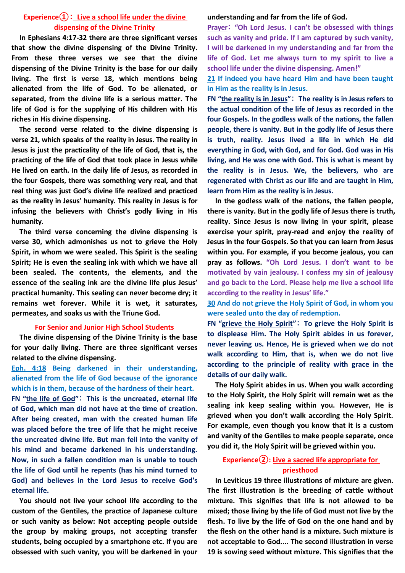### **Experience①**: **Live a school life under the divine dispensing of the Divine Trinity**

**In Ephesians 4:17-32 there are three significant verses that show the divine dispensing of the Divine Trinity. From these three verses we see that the divine dispensing of the Divine Trinity is the base for our daily living. The first is verse 18, which mentions being alienated from the life of God. To be alienated, or separated, from the divine life is a serious matter. The life of God is for the supplying of His children with His riches in His divine dispensing.**

**The second verse related to the divine dispensing is verse 21, which speaks of the reality in Jesus. The reality in Jesus is just the practicality of the life of God, that is, the practicing of the life of God that took place in Jesus while He lived on earth. In the daily life of Jesus, as recorded in the four Gospels, there was something very real, and that real thing was just God's divine life realized and practiced as the reality in Jesus' humanity. This reality in Jesus is for infusing the believers with Christ's godly living in His humanity.**

**The third verse concerning the divine dispensing is verse 30, which admonishes us not to grieve the Holy Spirit, in whom we were sealed. This Spirit is the sealing Spirit; He is even the sealing ink with which we have all been sealed. The contents, the elements, and the essence of the sealing ink are the divine life plus Jesus' practical humanity. This sealing can never become dry; it remains wet forever. While it is wet, it saturates, permeates, and soaks us with the Triune God.**

#### **For Senior and Junior High School Students**

**The divine dispensing of the Divine Trinity is the base for your daily living. There are three significant verses related to the divine dispensing.**

**Eph. 4:18 Being darkened in their understanding, alienated from the life of God because of the ignorance which is in them, because of the hardness of their heart.**

**FN "the life of God"**: **This is the uncreated, eternal life of God, which man did not have at the time of creation. After being created, man with the created human life was placed before the tree of life that he might receive the uncreated divine life. But man fell into the vanity of his mind and became darkened in his understanding. Now, in such a fallen condition man is unable to touch the life of God until he repents (has his mind turned to God) and believes in the Lord Jesus to receive God's eternal life.**

**You should not live your school life according to the custom of the Gentiles, the practice of Japanese culture or such vanity as below: Not accepting people outside the group by making groups, not accepting transfer students, being occupied by a smartphone etc. If you are obsessed with such vanity, you will be darkened in your** 

#### **understanding and far from the life of God.**

**Prayer**: **"Oh Lord Jesus. I can't be obsessed with things such as vanity and pride. If I am captured by such vanity, I will be darkened in my understanding and far from the life of God. Let me always turn to my spirit to live a school life under the divine dispensing. Amen!"**

**21 If indeed you have heard Him and have been taught in Him as the reality is in Jesus.**

**FN "the reality is in Jesus"**: **The reality is in Jesus refers to the actual condition of the life of Jesus as recorded in the four Gospels. In the godless walk of the nations, the fallen people, there is vanity. But in the godly life of Jesus there is truth, reality. Jesus lived a life in which He did everything in God, with God, and for God. God was in His living, and He was one with God. This is what is meant by the reality is in Jesus. We, the believers, who are regenerated with Christ as our life and are taught in Him, learn from Him as the reality is in Jesus.**

**In the godless walk of the nations, the fallen people, there is vanity. But in the godly life of Jesus there is truth, reality. Since Jesus is now living in your spirit, please exercise your spirit, pray-read and enjoy the reality of Jesus in the four Gospels. So that you can learn from Jesus within you. For example, if you become jealous, you can pray as follows. "Oh Lord Jesus. I don't want to be motivated by vain jealousy. I confess my sin of jealousy and go back to the Lord. Please help me live a school life according to the reality in Jesus' life."**

**30 And do not grieve the Holy Spirit of God, in whom you were sealed unto the day of redemption.**

**FN "grieve the Holy Spirit"**: **To grieve the Holy Spirit is to displease Him. The Holy Spirit abides in us forever, never leaving us. Hence, He is grieved when we do not walk according to Him, that is, when we do not live according to the principle of reality with grace in the details of our daily walk.**

**The Holy Spirit abides in us. When you walk according to the Holy Spirit, the Holy Spirit will remain wet as the sealing ink keep sealing within you. However, He is grieved when you don't walk according the Holy Spirit. For example, even though you know that it is a custom and vanity of the Gentiles to make people separate, once you did it, the Holy Spirit will be grieved within you.**

## **Experience②: Live a sacred life appropriate for priesthood**

**In Leviticus 19 three illustrations of mixture are given. The first illustration is the breeding of cattle without mixture. This signifies that life is not allowed to be mixed; those living by the life of God must not live by the flesh. To live by the life of God on the one hand and by the flesh on the other hand is a mixture. Such mixture is not acceptable to God.... The second illustration in verse 19 is sowing seed without mixture. This signifies that the**